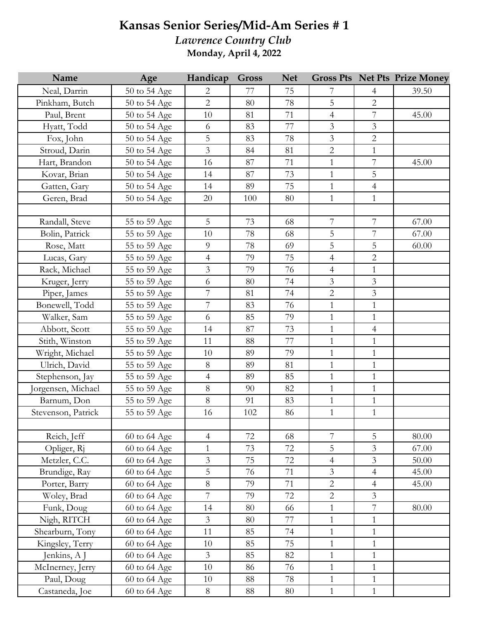## **Kansas Senior Series/Mid-Am Series # 1**

*Lawrence Country Club* **Monday, April 4, 2022**

| Name               | Age          | Handicap                 | <b>Gross</b> | <b>Net</b> |                |                | <b>Gross Pts Net Pts Prize Money</b> |
|--------------------|--------------|--------------------------|--------------|------------|----------------|----------------|--------------------------------------|
| Neal, Darrin       | 50 to 54 Age | 2                        | 77           | 75         | 7              | 4              | 39.50                                |
| Pinkham, Butch     | 50 to 54 Age | $\overline{2}$           | 80           | 78         | $\overline{5}$ | $\overline{2}$ |                                      |
| Paul, Brent        | 50 to 54 Age | 10                       | 81           | 71         | $\overline{4}$ | $\overline{7}$ | 45.00                                |
| Hyatt, Todd        | 50 to 54 Age | 6                        | 83           | 77         | $\mathfrak{Z}$ | $\mathfrak{Z}$ |                                      |
| Fox, John          | 50 to 54 Age | 5                        | 83           | 78         | $\mathfrak{Z}$ | $\overline{2}$ |                                      |
| Stroud, Darin      | 50 to 54 Age | $\overline{3}$           | 84           | 81         | $\overline{2}$ | $\mathbf{1}$   |                                      |
| Hart, Brandon      | 50 to 54 Age | 16                       | 87           | 71         | $\mathbf{1}$   | $\overline{7}$ | 45.00                                |
| Kovar, Brian       | 50 to 54 Age | 14                       | 87           | 73         | $\mathbf{1}$   | 5              |                                      |
| Gatten, Gary       | 50 to 54 Age | 14                       | 89           | 75         | $\mathbf{1}$   | $\overline{4}$ |                                      |
| Geren, Brad        | 50 to 54 Age | 20                       | 100          | 80         | $\mathbf{1}$   | $\mathbf{1}$   |                                      |
|                    |              |                          |              |            |                |                |                                      |
| Randall, Steve     | 55 to 59 Age | 5                        | 73           | 68         | $\overline{7}$ | $\overline{7}$ | 67.00                                |
| Bolin, Patrick     | 55 to 59 Age | 10                       | 78           | 68         | $\mathsf S$    | $\overline{7}$ | 67.00                                |
| Rose, Matt         | 55 to 59 Age | 9                        | 78           | 69         | 5              | 5              | 60.00                                |
| Lucas, Gary        | 55 to 59 Age | $\overline{\mathcal{A}}$ | 79           | 75         | $\overline{4}$ | $\overline{2}$ |                                      |
| Rack, Michael      | 55 to 59 Age | $\overline{3}$           | 79           | 76         | $\overline{4}$ | $\mathbf{1}$   |                                      |
| Kruger, Jerry      | 55 to 59 Age | 6                        | 80           | 74         | $\mathfrak{Z}$ | $\mathfrak{Z}$ |                                      |
| Piper, James       | 55 to 59 Age | 7                        | 81           | 74         | $\overline{2}$ | $\mathfrak{Z}$ |                                      |
| Bonewell, Todd     | 55 to 59 Age | $\overline{7}$           | 83           | 76         | $\mathbf{1}$   | $\mathbf{1}$   |                                      |
| Walker, Sam        | 55 to 59 Age | 6                        | 85           | 79         | $\mathbf{1}$   | $\mathbf{1}$   |                                      |
| Abbott, Scott      | 55 to 59 Age | 14                       | 87           | 73         | $\mathbf 1$    | $\overline{4}$ |                                      |
| Stith, Winston     | 55 to 59 Age | 11                       | 88           | 77         | $\mathbf{1}$   | $\mathbf{1}$   |                                      |
| Wright, Michael    | 55 to 59 Age | 10                       | 89           | 79         | $\mathbf{1}$   | $\mathbf{1}$   |                                      |
| Ulrich, David      | 55 to 59 Age | 8                        | 89           | 81         | $\mathbf{1}$   | $\mathbf{1}$   |                                      |
| Stephenson, Jay    | 55 to 59 Age | $\overline{4}$           | 89           | 85         | $\mathbf{1}$   | $\mathbf{1}$   |                                      |
| Jorgensen, Michael | 55 to 59 Age | 8                        | 90           | 82         | $\mathbf{1}$   | $\mathbf{1}$   |                                      |
| Barnum, Don        | 55 to 59 Age | 8                        | 91           | 83         | $\mathbf{1}$   | $\mathbf{1}$   |                                      |
| Stevenson, Patrick | 55 to 59 Age | 16                       | 102          | 86         | $\mathbf{1}$   | $\mathbf{1}$   |                                      |
|                    |              |                          |              |            |                |                |                                      |
| Reich, Jeff        | 60 to 64 Age | $\overline{4}$           | 72           | 68         | 7              | 5              | 80.00                                |
| Opliger, Rj        | 60 to 64 Age | $\mathbf{1}$             | 73           | 72         | 5              | $\overline{3}$ | 67.00                                |
| Metzler, C.C.      | 60 to 64 Age | $\overline{3}$           | 75           | 72         | $\overline{4}$ | 3              | 50.00                                |
| Brundige, Ray      | 60 to 64 Age | 5                        | 76           | 71         | $\mathfrak{Z}$ | $\overline{4}$ | 45.00                                |
| Porter, Barry      | 60 to 64 Age | $8\,$                    | 79           | 71         | $\overline{2}$ | $\overline{4}$ | 45.00                                |
| Woley, Brad        | 60 to 64 Age | 7                        | 79           | 72         | $\overline{2}$ | $\overline{3}$ |                                      |
| Funk, Doug         | 60 to 64 Age | 14                       | 80           | 66         | $\mathbf{1}$   | $\overline{7}$ | 80.00                                |
| Nigh, RITCH        | 60 to 64 Age | $\overline{3}$           | 80           | 77         | $\mathbf{1}$   | $\mathbf{1}$   |                                      |
| Shearburn, Tony    | 60 to 64 Age | 11                       | 85           | 74         | $\mathbf{1}$   | $\mathbf{1}$   |                                      |
| Kingsley, Terry    | 60 to 64 Age | 10                       | 85           | 75         | $\mathbf{1}$   | $\mathbf{1}$   |                                      |
| Jenkins, A J       | 60 to 64 Age | $\overline{3}$           | 85           | 82         | $\mathbf{1}$   | $\mathbf{1}$   |                                      |
| McInerney, Jerry   | 60 to 64 Age | 10                       | 86           | 76         | $\mathbf{1}$   | $\mathbf{1}$   |                                      |
| Paul, Doug         | 60 to 64 Age | 10                       | 88           | 78         | $\mathbf{1}$   | $\mathbf{1}$   |                                      |
| Castaneda, Joe     | 60 to 64 Age | $8\phantom{.}$           | 88           | 80         | $\mathbf{1}$   | $\mathbf{1}$   |                                      |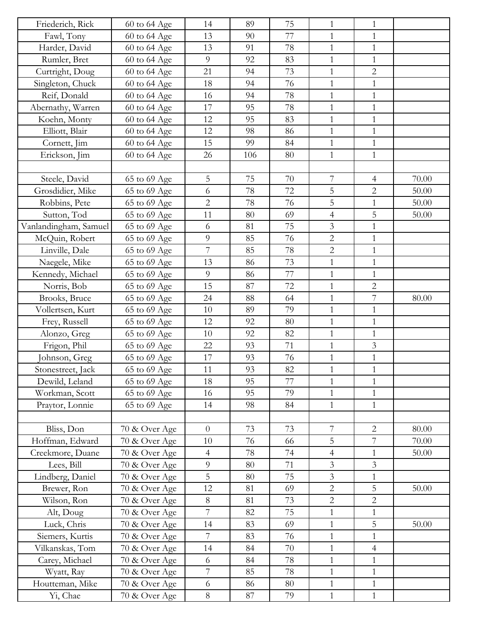| Friederich, Rick                    | 60 to 64 Age  | 14             | 89  | 75       | $\mathbf{1}$                              | $\mathbf{1}$   |       |
|-------------------------------------|---------------|----------------|-----|----------|-------------------------------------------|----------------|-------|
| Fawl, Tony                          | 60 to 64 Age  | 13             | 90  | 77       | $\mathbf{1}$                              | $\mathbf{1}$   |       |
| Harder, David                       | 60 to 64 Age  | 13             | 91  | 78       | $\mathbf{1}$                              | $\mathbf{1}$   |       |
| Rumler, Bret                        | 60 to 64 Age  | 9              | 92  | 83       | $\mathbf{1}$                              | $\mathbf{1}$   |       |
| Curtright, Doug                     | 60 to 64 Age  | 21             | 94  | 73       | $\mathbf{1}$                              | $\overline{2}$ |       |
| Singleton, Chuck                    | 60 to 64 Age  | 18             | 94  | 76       | $\mathbf{1}$                              | $\mathbf{1}$   |       |
| Reif, Donald                        | 60 to 64 Age  | 16             | 94  | 78       | $\mathbf{1}$                              | $\mathbf{1}$   |       |
| Abernathy, Warren                   | 60 to 64 Age  | 17             | 95  | 78       | $\mathbf{1}$                              | $\mathbf{1}$   |       |
| Koehn, Monty                        | 60 to 64 Age  | 12             | 95  | 83       | $\mathbf{1}$                              | $\mathbf{1}$   |       |
| Elliott, Blair                      | 60 to 64 Age  | 12             | 98  | 86       | $\mathbf{1}$                              | $\mathbf{1}$   |       |
| Cornett, Jim                        | 60 to 64 Age  | 15             | 99  | 84       | $\mathbf{1}$                              | $\mathbf{1}$   |       |
| Erickson, Jim                       | 60 to 64 Age  | 26             | 106 | 80       | $\mathbf{1}$                              | $\mathbf{1}$   |       |
|                                     |               |                |     |          |                                           |                |       |
| Steele, David                       | 65 to 69 Age  | 5              | 75  | 70       | $\overline{7}$                            | $\overline{4}$ | 70.00 |
| Grosdidier, Mike                    | 65 to 69 Age  | 6              | 78  | 72       | 5                                         | $\overline{2}$ | 50.00 |
| Robbins, Pete                       | 65 to 69 Age  | $\overline{2}$ | 78  | 76       | 5                                         | $\mathbf{1}$   | 50.00 |
| Sutton, Tod                         | 65 to 69 Age  | 11             | 80  | 69       | $\overline{4}$                            | $\overline{5}$ | 50.00 |
| Vanlandingham, Samuel               | 65 to 69 Age  | 6              | 81  | 75       | 3                                         | $\mathbf{1}$   |       |
| McQuin, Robert                      | 65 to 69 Age  | 9              | 85  | 76       | $\overline{2}$                            | $\mathbf{1}$   |       |
| Linville, Dale                      | 65 to 69 Age  | 7              | 85  | 78       | $\sqrt{2}$                                | $\mathbf{1}$   |       |
| Naegele, Mike                       | 65 to 69 Age  | 13             | 86  | 73       | $\mathbf{1}$                              | $\mathbf{1}$   |       |
| Kennedy, Michael                    | 65 to 69 Age  | 9              | 86  | 77       | $\mathbf{1}$                              | $\mathbf{1}$   |       |
| Norris, Bob                         | 65 to 69 Age  | 15             | 87  | 72       | $\mathbf{1}$                              | $\overline{2}$ |       |
| Brooks, Bruce                       | 65 to 69 Age  | 24             | 88  | 64       | $\mathbf{1}$                              | $\overline{7}$ | 80.00 |
| Vollertsen, Kurt                    | 65 to 69 Age  | 10             | 89  | 79       | $\mathbf{1}$                              | $\mathbf{1}$   |       |
| Frey, Russell                       | 65 to 69 Age  | 12             | 92  | 80       | $\mathbf{1}$                              | $\mathbf{1}$   |       |
| Alonzo, Greg                        | 65 to 69 Age  | 10             | 92  | 82       | $\mathbf{1}$                              | $\mathbf{1}$   |       |
| Frigon, Phil                        | 65 to 69 Age  | 22             | 93  | 71       | $\mathbf{1}$                              | $\mathfrak{Z}$ |       |
| Johnson, Greg                       | 65 to 69 Age  | 17             | 93  | 76       | $\mathbf{1}$                              | $\mathbf{1}$   |       |
| Stonestreet, Jack                   | 65 to 69 Age  | 11             | 93  | 82       | $\mathbf{1}$                              | 1              |       |
| Dewild, Leland                      | 65 to 69 Age  | 18             | 95  | 77       | $\mathbf{1}$                              | $\mathbf{1}$   |       |
| Workman, Scott                      | 65 to 69 Age  | 16             | 95  | 79       | $\mathbf{1}$                              | $\mathbf{1}$   |       |
| Praytor, Lonnie                     | 65 to 69 Age  | 14             | 98  | 84       | $\mathbf{1}$                              | $\mathbf{1}$   |       |
|                                     |               |                |     |          |                                           |                |       |
|                                     |               | $\overline{0}$ | 73  | 73       | $\boldsymbol{7}$                          | $\sqrt{2}$     | 80.00 |
| Bliss, Don                          | 70 & Over Age | 10             | 76  | 66       | 5                                         | $\overline{7}$ | 70.00 |
| Hoffman, Edward<br>Creekmore, Duane | 70 & Over Age |                |     |          |                                           |                |       |
|                                     | 70 & Over Age | $\overline{4}$ | 78  | 74<br>71 | $\overline{4}$                            | $\mathbf{1}$   | 50.00 |
| Lees, Bill                          | 70 & Over Age | 9              | 80  |          | $\mathfrak{Z}$<br>$\overline{\mathbf{3}}$ | $\overline{3}$ |       |
| Lindberg, Daniel                    | 70 & Over Age | 5              | 80  | 75       |                                           | $\mathbf{1}$   |       |
| Brewer, Ron                         | 70 & Over Age | 12             | 81  | 69       | $\overline{2}$                            | 5              | 50.00 |
| Wilson, Ron                         | 70 & Over Age | 8              | 81  | 73       | $\overline{c}$                            | $\overline{2}$ |       |
| Alt, Doug                           | 70 & Over Age | $\overline{7}$ | 82  | 75       | $\mathbf{1}$                              | $\mathbf{1}$   |       |
| Luck, Chris                         | 70 & Over Age | 14             | 83  | 69       | $\mathbf{1}$                              | 5              | 50.00 |
| Siemers, Kurtis                     | 70 & Over Age | 7              | 83  | 76       | $\mathbf{1}$                              | $\mathbf{1}$   |       |
| Vilkanskas, Tom                     | 70 & Over Age | 14             | 84  | 70       | $\mathbf{1}$                              | $\overline{4}$ |       |
| Carey, Michael                      | 70 & Over Age | 6              | 84  | 78       | $\mathbf 1$                               | $\mathbf{1}$   |       |
| Wyatt, Ray                          | 70 & Over Age | 7              | 85  | 78       | $\mathbf{1}$                              | $\mathbf{1}$   |       |
| Houtteman, Mike                     | 70 & Over Age | 6              | 86  | 80       | $\mathbf{1}$                              | $\mathbf{1}$   |       |
| Yi, Chae                            | 70 & Over Age | 8              | 87  | 79       | $\mathbf{1}$                              | $\mathbf{1}$   |       |